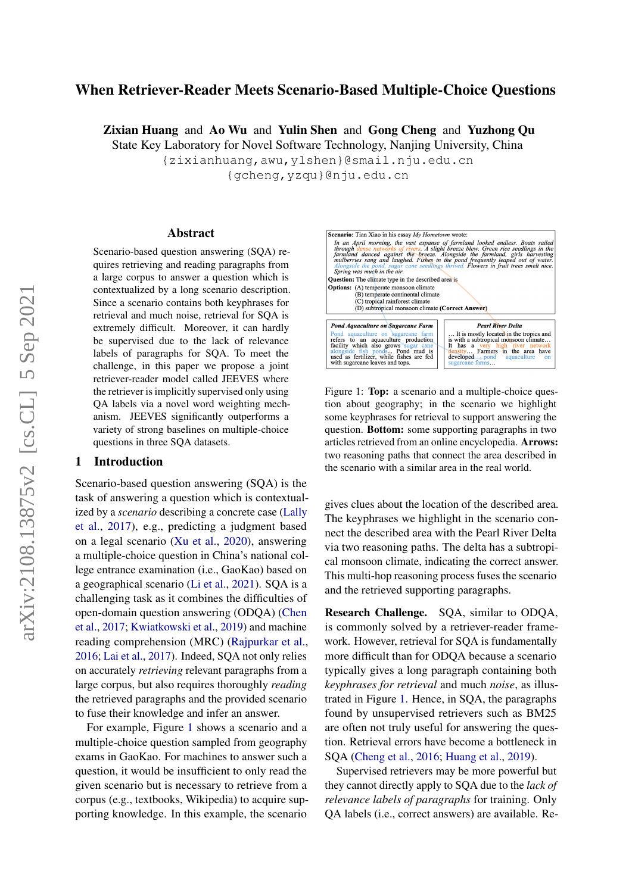# When Retriever-Reader Meets Scenario-Based Multiple-Choice Questions

Zixian Huang and Ao Wu and Yulin Shen and Gong Cheng and Yuzhong Qu

State Key Laboratory for Novel Software Technology, Nanjing University, China

{zixianhuang,awu,ylshen}@smail.nju.edu.cn

{gcheng,yzqu}@nju.edu.cn

#### Abstract

Scenario-based question answering (SQA) requires retrieving and reading paragraphs from a large corpus to answer a question which is contextualized by a long scenario description. Since a scenario contains both keyphrases for retrieval and much noise, retrieval for SQA is extremely difficult. Moreover, it can hardly be supervised due to the lack of relevance labels of paragraphs for SQA. To meet the challenge, in this paper we propose a joint retriever-reader model called JEEVES where the retriever is implicitly supervised only using QA labels via a novel word weighting mechanism. JEEVES significantly outperforms a variety of strong baselines on multiple-choice questions in three SQA datasets.

## <span id="page-0-1"></span>1 Introduction

Scenario-based question answering (SQA) is the task of answering a question which is contextualized by a *scenario* describing a concrete case [\(Lally](#page-8-0) [et al.,](#page-8-0) [2017\)](#page-8-0), e.g., predicting a judgment based on a legal scenario [\(Xu et al.,](#page-9-0) [2020\)](#page-9-0), answering a multiple-choice question in China's national college entrance examination (i.e., GaoKao) based on a geographical scenario [\(Li et al.,](#page-8-1) [2021\)](#page-8-1). SQA is a challenging task as it combines the difficulties of open-domain question answering (ODQA) [\(Chen](#page-8-2) [et al.,](#page-8-2) [2017;](#page-8-2) [Kwiatkowski et al.,](#page-8-3) [2019\)](#page-8-3) and machine reading comprehension (MRC) [\(Rajpurkar et al.,](#page-8-4) [2016;](#page-8-4) [Lai et al.,](#page-8-5) [2017\)](#page-8-5). Indeed, SQA not only relies on accurately *retrieving* relevant paragraphs from a large corpus, but also requires thoroughly *reading* the retrieved paragraphs and the provided scenario to fuse their knowledge and infer an answer.

For example, Figure [1](#page-0-0) shows a scenario and a multiple-choice question sampled from geography exams in GaoKao. For machines to answer such a question, it would be insufficient to only read the given scenario but is necessary to retrieve from a corpus (e.g., textbooks, Wikipedia) to acquire supporting knowledge. In this example, the scenario

<span id="page-0-0"></span>

Figure 1: **Top:** a scenario and a multiple-choice question about geography; in the scenario we highlight some keyphrases for retrieval to support answering the question. Bottom: some supporting paragraphs in two articles retrieved from an online encyclopedia. Arrows: two reasoning paths that connect the area described in the scenario with a similar area in the real world.

gives clues about the location of the described area. The keyphrases we highlight in the scenario connect the described area with the Pearl River Delta via two reasoning paths. The delta has a subtropical monsoon climate, indicating the correct answer. This multi-hop reasoning process fuses the scenario and the retrieved supporting paragraphs.

Research Challenge. SQA, similar to ODQA, is commonly solved by a retriever-reader framework. However, retrieval for SQA is fundamentally more difficult than for ODQA because a scenario typically gives a long paragraph containing both *keyphrases for retrieval* and much *noise*, as illustrated in Figure [1.](#page-0-0) Hence, in SQA, the paragraphs found by unsupervised retrievers such as BM25 are often not truly useful for answering the question. Retrieval errors have become a bottleneck in SQA [\(Cheng et al.,](#page-8-6) [2016;](#page-8-6) [Huang et al.,](#page-8-7) [2019\)](#page-8-7).

Supervised retrievers may be more powerful but they cannot directly apply to SQA due to the *lack of relevance labels of paragraphs* for training. Only QA labels (i.e., correct answers) are available. Re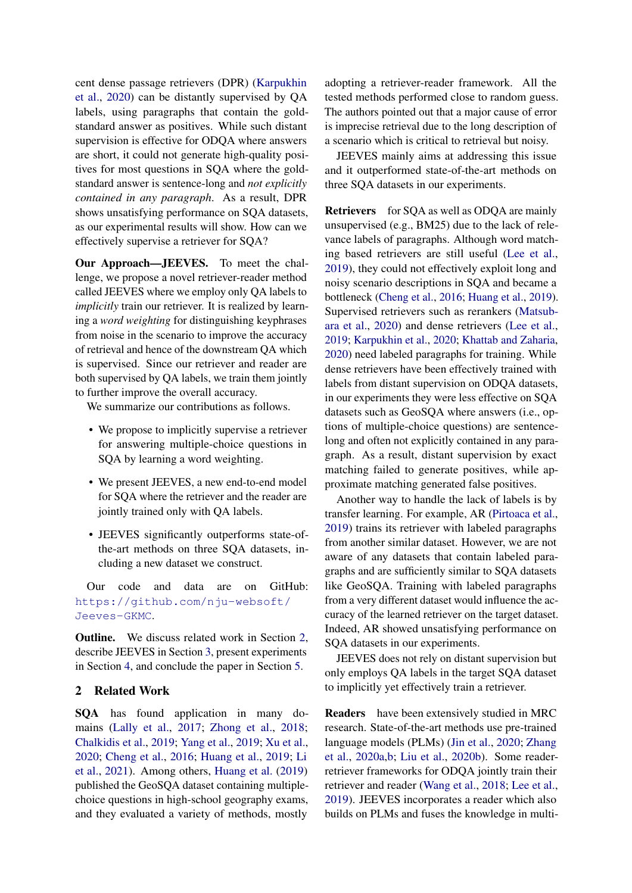cent dense passage retrievers (DPR) [\(Karpukhin](#page-8-8) [et al.,](#page-8-8) [2020\)](#page-8-8) can be distantly supervised by QA labels, using paragraphs that contain the goldstandard answer as positives. While such distant supervision is effective for ODQA where answers are short, it could not generate high-quality positives for most questions in SQA where the goldstandard answer is sentence-long and *not explicitly contained in any paragraph*. As a result, DPR shows unsatisfying performance on SQA datasets, as our experimental results will show. How can we effectively supervise a retriever for SQA?

Our Approach—JEEVES. To meet the challenge, we propose a novel retriever-reader method called JEEVES where we employ only QA labels to *implicitly* train our retriever. It is realized by learning a *word weighting* for distinguishing keyphrases from noise in the scenario to improve the accuracy of retrieval and hence of the downstream QA which is supervised. Since our retriever and reader are both supervised by QA labels, we train them jointly to further improve the overall accuracy.

We summarize our contributions as follows.

- We propose to implicitly supervise a retriever for answering multiple-choice questions in SQA by learning a word weighting.
- We present JEEVES, a new end-to-end model for SQA where the retriever and the reader are jointly trained only with QA labels.
- JEEVES significantly outperforms state-ofthe-art methods on three SQA datasets, including a new dataset we construct.

Our code and data are on GitHub: [https://github.com/nju-websoft/](https://github.com/nju-websoft/Jeeves-GKMC) [Jeeves-GKMC](https://github.com/nju-websoft/Jeeves-GKMC).

Outline. We discuss related work in Section [2,](#page-1-0) describe JEEVES in Section [3,](#page-2-0) present experiments in Section [4,](#page-4-0) and conclude the paper in Section [5.](#page-7-0)

# <span id="page-1-0"></span>2 Related Work

SQA has found application in many domains [\(Lally et al.,](#page-8-0) [2017;](#page-8-0) [Zhong et al.,](#page-9-1) [2018;](#page-9-1) [Chalkidis et al.,](#page-8-9) [2019;](#page-8-9) [Yang et al.,](#page-9-2) [2019;](#page-9-2) [Xu et al.,](#page-9-0) [2020;](#page-9-0) [Cheng et al.,](#page-8-6) [2016;](#page-8-6) [Huang et al.,](#page-8-7) [2019;](#page-8-7) [Li](#page-8-1) [et al.,](#page-8-1) [2021\)](#page-8-1). Among others, [Huang et al.](#page-8-7) [\(2019\)](#page-8-7) published the GeoSQA dataset containing multiplechoice questions in high-school geography exams, and they evaluated a variety of methods, mostly

adopting a retriever-reader framework. All the tested methods performed close to random guess. The authors pointed out that a major cause of error is imprecise retrieval due to the long description of a scenario which is critical to retrieval but noisy.

JEEVES mainly aims at addressing this issue and it outperformed state-of-the-art methods on three SQA datasets in our experiments.

Retrievers for SQA as well as ODQA are mainly unsupervised (e.g., BM25) due to the lack of relevance labels of paragraphs. Although word matching based retrievers are still useful [\(Lee et al.,](#page-8-10) [2019\)](#page-8-10), they could not effectively exploit long and noisy scenario descriptions in SQA and became a bottleneck [\(Cheng et al.,](#page-8-6) [2016;](#page-8-6) [Huang et al.,](#page-8-7) [2019\)](#page-8-7). Supervised retrievers such as rerankers [\(Matsub](#page-8-11)[ara et al.,](#page-8-11) [2020\)](#page-8-11) and dense retrievers [\(Lee et al.,](#page-8-10) [2019;](#page-8-10) [Karpukhin et al.,](#page-8-8) [2020;](#page-8-8) [Khattab and Zaharia,](#page-8-12) [2020\)](#page-8-12) need labeled paragraphs for training. While dense retrievers have been effectively trained with labels from distant supervision on ODQA datasets, in our experiments they were less effective on SQA datasets such as GeoSQA where answers (i.e., options of multiple-choice questions) are sentencelong and often not explicitly contained in any paragraph. As a result, distant supervision by exact matching failed to generate positives, while approximate matching generated false positives.

Another way to handle the lack of labels is by transfer learning. For example, AR [\(Pirtoaca et al.,](#page-8-13) [2019\)](#page-8-13) trains its retriever with labeled paragraphs from another similar dataset. However, we are not aware of any datasets that contain labeled paragraphs and are sufficiently similar to SQA datasets like GeoSQA. Training with labeled paragraphs from a very different dataset would influence the accuracy of the learned retriever on the target dataset. Indeed, AR showed unsatisfying performance on SQA datasets in our experiments.

JEEVES does not rely on distant supervision but only employs QA labels in the target SQA dataset to implicitly yet effectively train a retriever.

Readers have been extensively studied in MRC research. State-of-the-art methods use pre-trained language models (PLMs) [\(Jin et al.,](#page-8-14) [2020;](#page-8-14) [Zhang](#page-9-3) [et al.,](#page-9-3) [2020a](#page-9-3)[,b;](#page-9-4) [Liu et al.,](#page-8-15) [2020b\)](#page-8-15). Some readerretriever frameworks for ODQA jointly train their retriever and reader [\(Wang et al.,](#page-9-5) [2018;](#page-9-5) [Lee et al.,](#page-8-10) [2019\)](#page-8-10). JEEVES incorporates a reader which also builds on PLMs and fuses the knowledge in multi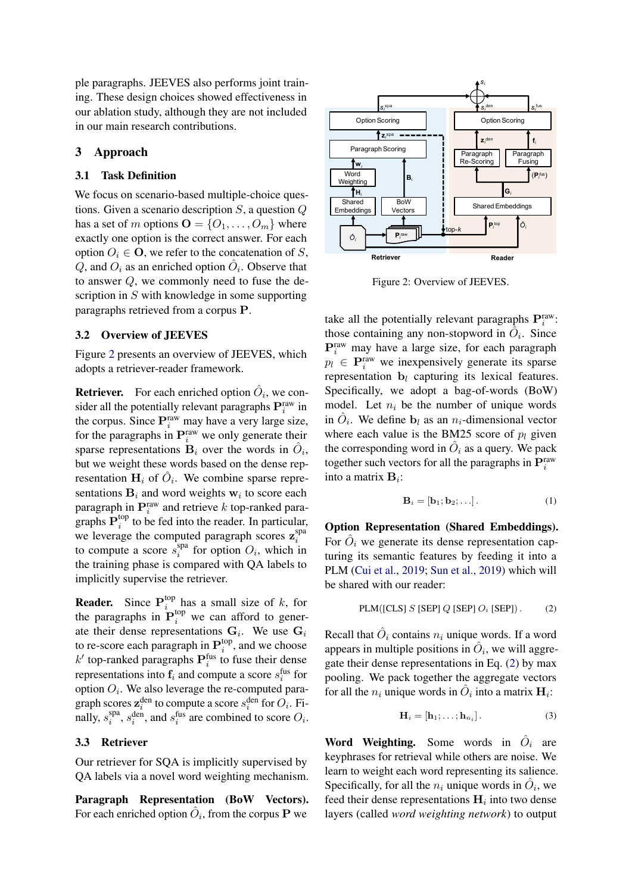ple paragraphs. JEEVES also performs joint training. These design choices showed effectiveness in our ablation study, although they are not included in our main research contributions.

# <span id="page-2-0"></span>3 Approach

## 3.1 Task Definition

We focus on scenario-based multiple-choice questions. Given a scenario description  $S$ , a question  $Q$ has a set of m options  $\mathbf{O} = \{O_1, \ldots, O_m\}$  where exactly one option is the correct answer. For each option  $O_i \in \mathbf{O}$ , we refer to the concatenation of S,  $\hat{Q}$ , and  $O_i$  as an enriched option  $\hat{O}_i$ . Observe that to answer Q, we commonly need to fuse the description in S with knowledge in some supporting paragraphs retrieved from a corpus P.

## 3.2 Overview of JEEVES

Figure [2](#page-2-1) presents an overview of JEEVES, which adopts a retriever-reader framework.

**Retriever.** For each enriched option  $\hat{O}_i$ , we consider all the potentially relevant paragraphs  $\mathbf{P}^{\text{raw}}_i$  in the corpus. Since  $\mathbf{P}_i^{\text{raw}}$  may have a very large size, for the paragraphs in  $\mathbf{P}_i^{\text{raw}}$  we only generate their sparse representations  $\mathbf{B}_i$  over the words in  $\hat{O}_i$ , but we weight these words based on the dense representation  $H_i$  of  $\hat{O}_i$ . We combine sparse representations  $B_i$  and word weights  $w_i$  to score each paragraph in  $\mathbf{P}_i^{\text{raw}}$  and retrieve k top-ranked paragraphs  $\mathbf{P}_i^{\text{top}}$  $i<sup>top</sup>$  to be fed into the reader. In particular, we leverage the computed paragraph scores  $z_i^{\text{spa}}$ i to compute a score  $\overline{s}_i^{\text{spa}}$  $i$ <sup>spa</sup> for option  $O_i$ , which in the training phase is compared with QA labels to implicitly supervise the retriever.

**Reader.** Since  $P_i^{top}$  $\int_{i}^{\text{top}}$  has a small size of k, for the paragraphs in  $\mathbf{P}_i^{\text{top}}$  we can afford to generate their dense representations  $G_i$ . We use  $G_i$ to re-score each paragraph in  ${\bf P}_i^{\text{top}}$  $i$ <sup>top</sup>, and we choose  $k'$  top-ranked paragraphs  $P_i^{\text{fus}}$  to fuse their dense representations into  $f_i$  and compute a score  $s_i^{\text{fus}}$  for option  $O_i$ . We also leverage the re-computed paragraph scores  $\mathbf{z}_i^{\text{den}}$  to compute a score  $s_i^{\text{den}}$  for  $O_i$ . Finally,  $s_i^{\text{spa}}$ <sup>spa</sup>,  $s_i^{\text{den}}$ , and  $s_i^{\text{fus}}$  are combined to score  $O_i$ .

### 3.3 Retriever

Our retriever for SQA is implicitly supervised by QA labels via a novel word weighting mechanism.

Paragraph Representation (BoW Vectors). For each enriched option  $\hat{O}_i$ , from the corpus **P** we

<span id="page-2-1"></span>

Figure 2: Overview of JEEVES.

take all the potentially relevant paragraphs  $P_i^{raw}$ : those containing any non-stopword in  $\hat{O}_i$ . Since  $\mathbf{P}_i^{\text{raw}}$  may have a large size, for each paragraph  $p_l \in \mathbf{P}_i^{\text{raw}}$  we inexpensively generate its sparse representation  $\mathbf{b}_l$  capturing its lexical features. Specifically, we adopt a bag-of-words (BoW) model. Let  $n_i$  be the number of unique words in  $\hat{O}_i$ . We define  $\mathbf{b}_l$  as an  $n_i$ -dimensional vector where each value is the BM25 score of  $p_l$  given the corresponding word in  $\hat{O}_i$  as a query. We pack together such vectors for all the paragraphs in  $\mathbf{P}^{\text{raw}}_i$ into a matrix  $\mathbf{B}_i$ :

<span id="page-2-2"></span>
$$
\mathbf{B}_{i} = [\mathbf{b}_{1}; \mathbf{b}_{2}; \ldots]. \tag{1}
$$

Option Representation (Shared Embeddings). For  $\hat{O}_i$  we generate its dense representation capturing its semantic features by feeding it into a PLM [\(Cui et al.,](#page-8-16) [2019;](#page-8-16) [Sun et al.,](#page-9-6) [2019\)](#page-9-6) which will be shared with our reader:

$$
PLM([CLS] S [SEP] Q [SEP] Oi [SEP]). \qquad (2)
$$

Recall that  $\hat{O}_i$  contains  $n_i$  unique words. If a word appears in multiple positions in  $\hat{O}_i$ , we will aggregate their dense representations in Eq. [\(2\)](#page-2-2) by max pooling. We pack together the aggregate vectors for all the  $n_i$  unique words in  $\hat{O}_i$  into a matrix  $\mathbf{H}_i$ :

$$
\mathbf{H}_i = [\mathbf{h}_1; \dots; \mathbf{h}_{n_i}]. \tag{3}
$$

Word Weighting. Some words in  $\hat{O}_i$  are keyphrases for retrieval while others are noise. We learn to weight each word representing its salience. Specifically, for all the  $n_i$  unique words in  $\hat{O}_i$ , we feed their dense representations  $H_i$  into two dense layers (called *word weighting network*) to output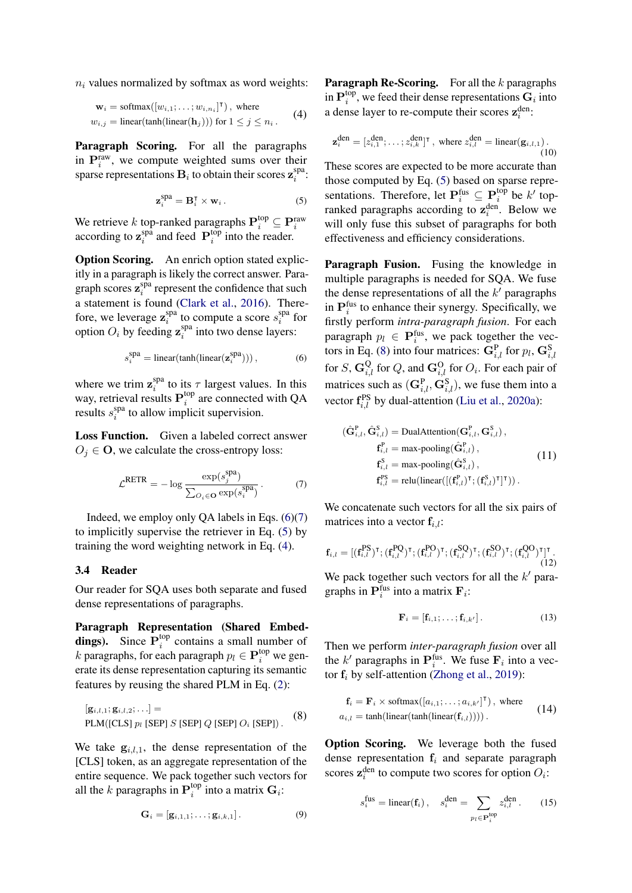$n_i$  values normalized by softmax as word weights:

$$
\mathbf{w}_{i} = \text{softmax}([w_{i,1}; \dots; w_{i,n_{i}}]^{T}), \text{ where}
$$
  

$$
w_{i,j} = \text{linear}(\text{tanh}(\text{linear}(\mathbf{h}_{j}))) \text{ for } 1 \leq j \leq n_{i}.
$$
 (4)

Paragraph Scoring. For all the paragraphs in  $P_i^{\text{raw}}$ , we compute weighted sums over their sparse representations  $\mathbf{B}_i$  to obtain their scores  $\mathbf{z}_i^{\text{spa}}$  $i$ <sup>spa</sup>:

$$
\mathbf{z}_i^{\text{spa}} = \mathbf{B}_i^{\mathsf{T}} \times \mathbf{w}_i. \tag{5}
$$

<span id="page-3-2"></span>We retrieve k top-ranked paragraphs  $\mathbf{P}_i^{\text{top}} \subseteq \mathbf{P}_i^{\text{raw}}$ according to  $\mathbf{z}_i^{\text{sp}\hat{\text{a}}}$  $i$ <sup>spa</sup> and feed  $P_i^{top}$  $i$ <sup>top</sup> into the reader.

Option Scoring. An enrich option stated explicitly in a paragraph is likely the correct answer. Paragraph scores  $\mathbf{z}_i^{\text{spa}}$  $i$ <sup>spa</sup> represent the confidence that such a statement is found [\(Clark et al.,](#page-8-17) [2016\)](#page-8-17). Therefore, we leverage  $\mathbf{z}_i^{\text{spa}}$  $s_i^{\text{spa}}$  to compute a score  $s_i^{\text{spa}}$  $\int_{i}^{\text{spa}}$  for option  $O_i$  by feeding  $\mathbf{z}_i^{\text{spa}}$  $i$ <sup>spa</sup> into two dense layers:

$$
s_i^{\text{spa}} = \text{linear}(\text{tanh}(\text{linear}(\mathbf{z}_i^{\text{spa}}))), \tag{6}
$$

where we trim  $z_i^{\text{spa}}$ <sup>spa</sup> to its  $\tau$  largest values. In this way, retrieval results  ${\bf P}_i^{\text{top}}$  $i^{\text{top}}$  are connected with QA results  $s_i^{\text{spa}}$  $i$ <sup>spa</sup> to allow implicit supervision.

Loss Function. Given a labeled correct answer  $O_j \in \mathbf{O}$ , we calculate the cross-entropy loss:

$$
\mathcal{L}^{\text{RETR}} = -\log \frac{\exp(s_j^{\text{spa}})}{\sum_{O_i \in \mathbf{O}} \exp(s_i^{\text{spa}})}.
$$
 (7)

Indeed, we employ only  $OA$  labels in Eqs.  $(6)(7)$  $(6)(7)$ to implicitly supervise the retriever in Eq. [\(5\)](#page-3-2) by training the word weighting network in Eq. [\(4\)](#page-3-3).

#### 3.4 Reader

Our reader for SQA uses both separate and fused dense representations of paragraphs.

Paragraph Representation (Shared Embeddings). Since  $\overline{P}_i^{top}$  $i$ <sup>top</sup> contains a small number of k paragraphs, for each paragraph  $p_l \in \mathbf{P}_i^{\text{top}}$  we generate its dense representation capturing its semantic features by reusing the shared PLM in Eq. [\(2\)](#page-2-2):

$$
[\mathbf{g}_{i,l,1}; \mathbf{g}_{i,l,2}; \ldots] =
$$
  
PLM([CLS]  $p_l$  [SEP]  $S$  [SEP]  $Q$  [SEP]  $O_i$  [SEP]) . (8)

We take  $g_{i,l,1}$ , the dense representation of the [CLS] token, as an aggregate representation of the entire sequence. We pack together such vectors for all the k paragraphs in  $\mathbf{P}_i^{\text{top}}$  $i^{\text{top}}$  into a matrix  $\mathbf{G}_i$ :

$$
\mathbf{G}_i = [\mathbf{g}_{i,1,1}; \dots; \mathbf{g}_{i,k,1}]. \tag{9}
$$

<span id="page-3-3"></span>**Paragraph Re-Scoring.** For all the  $k$  paragraphs in  ${\bf P}^{\text{top}}_i$  $i^{\text{top}}$ , we feed their dense representations  $\mathbf{G}_i$  into a dense layer to re-compute their scores  $z_i^{\text{den}}$ :

<span id="page-3-5"></span>
$$
\mathbf{z}_i^{\text{den}} = [z_{i,1}^{\text{den}}; \dots; z_{i,k}^{\text{den}}]^{\text{T}}, \text{ where } z_{i,l}^{\text{den}} = \text{linear}(\mathbf{g}_{i,l,1}).
$$
\n(10)

These scores are expected to be more accurate than those computed by Eq. [\(5\)](#page-3-2) based on sparse representations. Therefore, let  $\mathbf{P}_i^{\text{fus}} \subseteq \mathbf{P}_i^{\text{top}}$  $i^{\text{top}}$  be  $k'$  topranked paragraphs according to  $z_i^{\text{den}}$ . Below we will only fuse this subset of paragraphs for both effectiveness and efficiency considerations.

<span id="page-3-0"></span>Paragraph Fusion. Fusing the knowledge in multiple paragraphs is needed for SQA. We fuse the dense representations of all the  $k'$  paragraphs in  $P_i^{\text{fus}}$  to enhance their synergy. Specifically, we firstly perform *intra-paragraph fusion*. For each paragraph  $p_l \in \mathbf{P}_i^{\text{fus}}$ , we pack together the vec-tors in Eq. [\(8\)](#page-3-4) into four matrices:  $\mathbf{G}_{i,l}^{\text{P}}$  for  $p_l$ ,  $\mathbf{G}_{i,l}^{\text{S}}$ for  $S$ ,  $\mathbf{G}_{i,l}^{\mathbf{Q}}$  for  $Q$ , and  $\mathbf{G}_{i,l}^{\mathbf{O}}$  for  $O_i$ . For each pair of matrices such as  $(\mathbf{G}_{i,l}^{\text{P}}, \mathbf{G}_{i,l}^{\text{S}})$ , we fuse them into a vector  $\mathbf{f}_{i,l}^{\text{PS}}$  by dual-attention [\(Liu et al.,](#page-8-18) [2020a\)](#page-8-18):

<span id="page-3-1"></span>
$$
(\hat{\mathbf{G}}_{i,l}^{\mathrm{P}}, \hat{\mathbf{G}}_{i,l}^{\mathrm{S}}) = \text{DualAttention}(\mathbf{G}_{i,l}^{\mathrm{P}}, \mathbf{G}_{i,l}^{\mathrm{S}}),
$$
  
\n
$$
\mathbf{f}_{i,l}^{\mathrm{P}} = \max \text{-pooling}(\hat{\mathbf{G}}_{i,l}^{\mathrm{P}}),
$$
  
\n
$$
\mathbf{f}_{i,l}^{\mathrm{S}} = \max \text{-pooling}(\hat{\mathbf{G}}_{i,l}^{\mathrm{S}}),
$$
  
\n
$$
\mathbf{f}_{i,l}^{\mathrm{PS}} = \text{relu}(\text{linear}([(\mathbf{f}_{i,l}^{\mathrm{P}})^{\mathrm{T}}; (\mathbf{f}_{i,l}^{\mathrm{S}})^{\mathrm{T}}]^{\mathrm{T}})).
$$
 (11)

We concatenate such vectors for all the six pairs of matrices into a vector  $f_{i,l}$ :

$$
\mathbf{f}_{i,l} = [(\mathbf{f}_{i,l}^{\text{PS}})^{\text{T}}; (\mathbf{f}_{i,l}^{\text{PQ}})^{\text{T}}; (\mathbf{f}_{i,l}^{\text{PO}})^{\text{T}}; (\mathbf{f}_{i,l}^{\text{SQ}})^{\text{T}}; (\mathbf{f}_{i,l}^{\text{SO}})^{\text{T}}; (\mathbf{f}_{i,l}^{\text{QO}})^{\text{T}}]^{\text{T}}. \tag{12}
$$

We pack together such vectors for all the  $k'$  paragraphs in  $\mathbf{P}_i^{\text{fus}}$  into a matrix  $\mathbf{F}_i$ :

$$
\mathbf{F}_i = [\mathbf{f}_{i,1}; \dots; \mathbf{f}_{i,k'}]. \tag{13}
$$

Then we perform *inter-paragraph fusion* over all the k' paragraphs in  $\mathbf{P}_i^{\text{fus}}$ . We fuse  $\mathbf{F}_i$  into a vector  $f_i$  by self-attention [\(Zhong et al.,](#page-9-7) [2019\)](#page-9-7):

<span id="page-3-4"></span>
$$
\mathbf{f}_i = \mathbf{F}_i \times \text{softmax}([a_{i,1}; \dots; a_{i,k'}]^{\mathsf{T}}), \text{ where}
$$
  
\n
$$
a_{i,l} = \tanh(\text{linear}(\text{tanh}(\text{linear}(\mathbf{f}_{i,l}))))
$$
 (14)

Option Scoring. We leverage both the fused dense representation  $f_i$  and separate paragraph scores  $\mathbf{z}_i^{\text{den}}$  to compute two scores for option  $O_i$ :

<span id="page-3-6"></span>
$$
s_i^{\text{fus}} = \text{linear}(\mathbf{f}_i), \quad s_i^{\text{den}} = \sum_{p_l \in \mathbf{P}_i^{\text{top}}} z_{i,l}^{\text{den}}.
$$
 (15)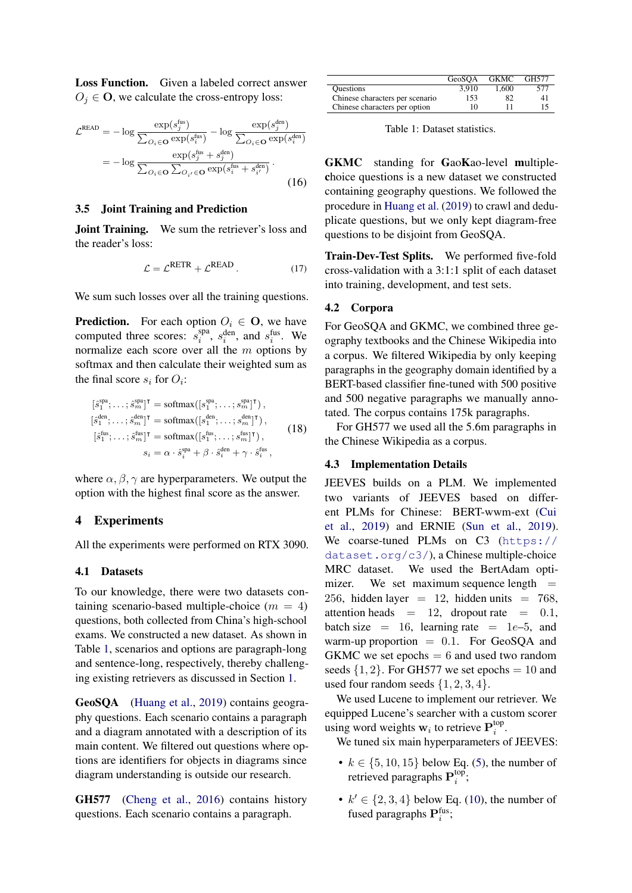Loss Function. Given a labeled correct answer  $O_j \in \mathbf{O}$ , we calculate the cross-entropy loss:

$$
\mathcal{L}^{\text{READ}} = -\log \frac{\exp(s_j^{\text{fus}})}{\sum_{O_i \in \mathbf{O}} \exp(s_i^{\text{fus}})} - \log \frac{\exp(s_j^{\text{den}})}{\sum_{O_i \in \mathbf{O}} \exp(s_i^{\text{den}})}
$$

$$
= -\log \frac{\exp(s_j^{\text{fus}} + s_j^{\text{den}})}{\sum_{O_i \in \mathbf{O}} \sum_{O_{i'} \in \mathbf{O}} \exp(s_i^{\text{fus}} + s_{i'}^{\text{den}})}.
$$
(16)

## 3.5 Joint Training and Prediction

**Joint Training.** We sum the retriever's loss and the reader's loss:

$$
\mathcal{L} = \mathcal{L}^{\text{RETR}} + \mathcal{L}^{\text{READ}}.
$$
 (17)

We sum such losses over all the training questions.

**Prediction.** For each option  $O_i \in \mathbf{O}$ , we have computed three scores:  $s_i^{spa}$  $s_i^{\text{gen}}, s_i^{\text{den}}, \text{ and } s_i^{\text{fus}}.$  We normalize each score over all the m options by softmax and then calculate their weighted sum as the final score  $s_i$  for  $O_i$ :

$$
[\hat{s}_1^{\text{spa}}; \dots; \hat{s}_m^{\text{spa}}]^\mathsf{T} = \text{softmax}([s_1^{\text{spa}}; \dots; s_m^{\text{spa}}]^\mathsf{T}),
$$
  
\n
$$
[\hat{s}_1^{\text{den}}; \dots; \hat{s}_m^{\text{den}}]^\mathsf{T} = \text{softmax}([s_1^{\text{den}}; \dots; s_m^{\text{den}}]^\mathsf{T}),
$$
  
\n
$$
[\hat{s}_1^{\text{fus}}; \dots; \hat{s}_m^{\text{fus}}]^\mathsf{T} = \text{softmax}([s_1^{\text{fus}}; \dots; s_m^{\text{fus}}]^\mathsf{T}),
$$
  
\n
$$
s_i = \alpha \cdot \hat{s}_i^{\text{spa}} + \beta \cdot \hat{s}_i^{\text{den}} + \gamma \cdot \hat{s}_i^{\text{fus}},
$$
  
\n(18)

where  $\alpha$ ,  $\beta$ ,  $\gamma$  are hyperparameters. We output the option with the highest final score as the answer.

## <span id="page-4-0"></span>4 Experiments

All the experiments were performed on RTX 3090.

#### 4.1 Datasets

To our knowledge, there were two datasets containing scenario-based multiple-choice  $(m = 4)$ questions, both collected from China's high-school exams. We constructed a new dataset. As shown in Table [1,](#page-4-1) scenarios and options are paragraph-long and sentence-long, respectively, thereby challenging existing retrievers as discussed in Section [1.](#page-0-1)

GeoSQA [\(Huang et al.,](#page-8-7) [2019\)](#page-8-7) contains geography questions. Each scenario contains a paragraph and a diagram annotated with a description of its main content. We filtered out questions where options are identifiers for objects in diagrams since diagram understanding is outside our research.

GH577 [\(Cheng et al.,](#page-8-6) [2016\)](#page-8-6) contains history questions. Each scenario contains a paragraph.

<span id="page-4-1"></span>

|                                 | GeoSOA | <b>GKMC</b> | GH577 |
|---------------------------------|--------|-------------|-------|
| <b>Ouestions</b>                | 3.910  | 1.600       | 577   |
| Chinese characters per scenario | 153    | 82          | 41    |
| Chinese characters per option   | 10     | 11          | 15    |

Table 1: Dataset statistics.

GKMC standing for GaoKao-level multiplechoice questions is a new dataset we constructed containing geography questions. We followed the procedure in [Huang et al.](#page-8-7) [\(2019\)](#page-8-7) to crawl and deduplicate questions, but we only kept diagram-free questions to be disjoint from GeoSQA.

Train-Dev-Test Splits. We performed five-fold cross-validation with a 3:1:1 split of each dataset into training, development, and test sets.

#### 4.2 Corpora

For GeoSQA and GKMC, we combined three geography textbooks and the Chinese Wikipedia into a corpus. We filtered Wikipedia by only keeping paragraphs in the geography domain identified by a BERT-based classifier fine-tuned with 500 positive and 500 negative paragraphs we manually annotated. The corpus contains 175k paragraphs.

<span id="page-4-2"></span>For GH577 we used all the 5.6m paragraphs in the Chinese Wikipedia as a corpus.

## <span id="page-4-3"></span>4.3 Implementation Details

JEEVES builds on a PLM. We implemented two variants of JEEVES based on different PLMs for Chinese: BERT-wwm-ext [\(Cui](#page-8-16) [et al.,](#page-8-16) [2019\)](#page-8-16) and ERNIE [\(Sun et al.,](#page-9-6) [2019\)](#page-9-6). We coarse-tuned PLMs on C3 ([https://](https://dataset.org/c3/) [dataset.org/c3/](https://dataset.org/c3/)), a Chinese multiple-choice MRC dataset. We used the BertAdam optimizer. We set maximum sequence length  $=$ 256, hidden layer = 12, hidden units =  $768$ , attention heads = 12, dropout rate =  $0.1$ , batch size = 16, learning rate =  $1e-5$ , and warm-up proportion  $= 0.1$ . For GeoSQA and  $GKMC$  we set epochs  $= 6$  and used two random seeds  $\{1, 2\}$ . For GH577 we set epochs = 10 and used four random seeds  $\{1, 2, 3, 4\}.$ 

We used Lucene to implement our retriever. We equipped Lucene's searcher with a custom scorer using word weights  $w_i$  to retrieve  $P_i^{top}$  $\frac{\log p}{i}$ .

We tuned six main hyperparameters of JEEVES:

- $k \in \{5, 10, 15\}$  below Eq. [\(5\)](#page-3-2), the number of retrieved paragraphs  $\mathbf{P}_i^{\text{top}}$  $\frac{\text{top}}{i}$
- $k' \in \{2, 3, 4\}$  below Eq. [\(10\)](#page-3-5), the number of fused paragraphs  ${\bf P}_i^{\text{fus}}$ ;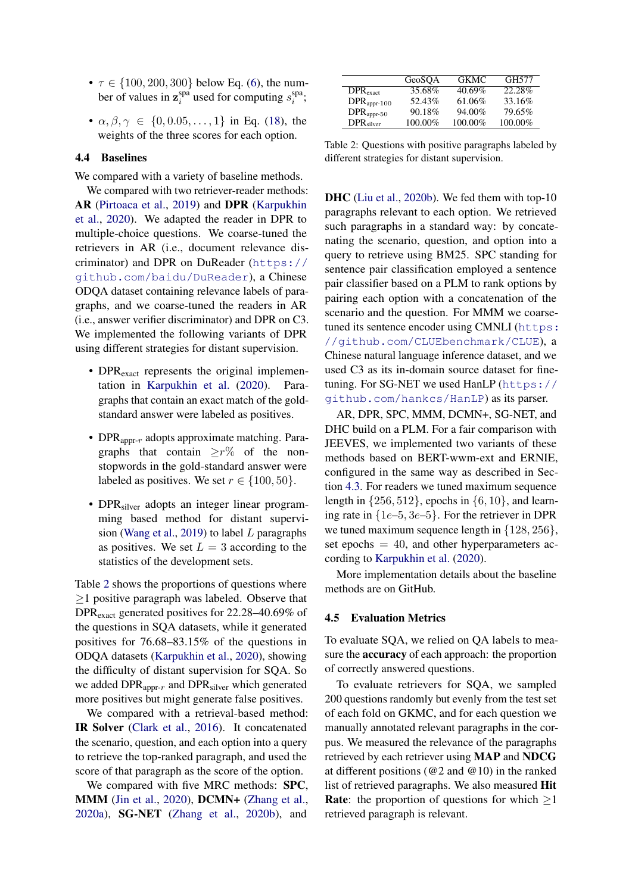- $\tau \in \{100, 200, 300\}$  below Eq. [\(6\)](#page-3-0), the number of values in  $z_i^{\text{spa}}$  $i$ <sup>spa</sup> used for computing  $s_i^{\text{spa}}$  $i$ <sup>spa</sup>;
- $\alpha, \beta, \gamma \in \{0, 0.05, \ldots, 1\}$  in Eq. [\(18\)](#page-4-2), the weights of the three scores for each option.

# 4.4 Baselines

We compared with a variety of baseline methods.

We compared with two retriever-reader methods: AR [\(Pirtoaca et al.,](#page-8-13) [2019\)](#page-8-13) and DPR [\(Karpukhin](#page-8-8) [et al.,](#page-8-8) [2020\)](#page-8-8). We adapted the reader in DPR to multiple-choice questions. We coarse-tuned the retrievers in AR (i.e., document relevance discriminator) and DPR on DuReader ([https://](https://github.com/baidu/DuReader) [github.com/baidu/DuReader](https://github.com/baidu/DuReader)), a Chinese ODQA dataset containing relevance labels of paragraphs, and we coarse-tuned the readers in AR (i.e., answer verifier discriminator) and DPR on C3. We implemented the following variants of DPR using different strategies for distant supervision.

- DPR<sub>exact</sub> represents the original implementation in [Karpukhin et al.](#page-8-8) [\(2020\)](#page-8-8). Paragraphs that contain an exact match of the goldstandard answer were labeled as positives.
- DPR<sub>appr- $r$ </sub> adopts approximate matching. Paragraphs that contain  $\geq r\%$  of the nonstopwords in the gold-standard answer were labeled as positives. We set  $r \in \{100, 50\}$ .
- DPR<sub>silver</sub> adopts an integer linear programming based method for distant supervision [\(Wang et al.,](#page-9-8) [2019\)](#page-9-8) to label L paragraphs as positives. We set  $L = 3$  according to the statistics of the development sets.

Table [2](#page-5-0) shows the proportions of questions where  $\geq$ 1 positive paragraph was labeled. Observe that DPRexact generated positives for 22.28–40.69% of the questions in SQA datasets, while it generated positives for 76.68–83.15% of the questions in ODQA datasets [\(Karpukhin et al.,](#page-8-8) [2020\)](#page-8-8), showing the difficulty of distant supervision for SQA. So we added  $DPR_{\text{appr-}r}$  and  $DPR_{\text{silver}}$  which generated more positives but might generate false positives.

We compared with a retrieval-based method: IR Solver [\(Clark et al.,](#page-8-17) [2016\)](#page-8-17). It concatenated the scenario, question, and each option into a query to retrieve the top-ranked paragraph, and used the score of that paragraph as the score of the option.

We compared with five MRC methods: **SPC**, MMM [\(Jin et al.,](#page-8-14) [2020\)](#page-8-14), DCMN+ [\(Zhang et al.,](#page-9-3) [2020a\)](#page-9-3), SG-NET [\(Zhang et al.,](#page-9-4) [2020b\)](#page-9-4), and

<span id="page-5-0"></span>

|                         | GeoSOA  | GKMC.     | GH577   |
|-------------------------|---------|-----------|---------|
| $DPR_{exact}$           | 35.68%  | 40.69%    | 22.28%  |
| $DPR_{\text{appr-100}}$ | 52.43%  | 61.06%    | 33.16%  |
| $DPR_{appr-50}$         | 90.18%  | $94.00\%$ | 79.65%  |
| DPR <sub>silver</sub>   | 100.00% | 100.00%   | 100.00% |

Table 2: Questions with positive paragraphs labeled by different strategies for distant supervision.

DHC [\(Liu et al.,](#page-8-15) [2020b\)](#page-8-15). We fed them with top-10 paragraphs relevant to each option. We retrieved such paragraphs in a standard way: by concatenating the scenario, question, and option into a query to retrieve using BM25. SPC standing for sentence pair classification employed a sentence pair classifier based on a PLM to rank options by pairing each option with a concatenation of the scenario and the question. For MMM we coarsetuned its sentence encoder using CMNLI ([https:](https://github.com/CLUEbenchmark/CLUE) [//github.com/CLUEbenchmark/CLUE](https://github.com/CLUEbenchmark/CLUE)), a Chinese natural language inference dataset, and we used C3 as its in-domain source dataset for finetuning. For SG-NET we used HanLP ([https://](https://github.com/hankcs/HanLP) [github.com/hankcs/HanLP](https://github.com/hankcs/HanLP)) as its parser.

AR, DPR, SPC, MMM, DCMN+, SG-NET, and DHC build on a PLM. For a fair comparison with JEEVES, we implemented two variants of these methods based on BERT-wwm-ext and ERNIE, configured in the same way as described in Section [4.3.](#page-4-3) For readers we tuned maximum sequence length in  $\{256, 512\}$ , epochs in  $\{6, 10\}$ , and learning rate in  $\{1e-5, 3e-5\}$ . For the retriever in DPR we tuned maximum sequence length in {128, 256}, set epochs  $= 40$ , and other hyperparameters according to [Karpukhin et al.](#page-8-8) [\(2020\)](#page-8-8).

More implementation details about the baseline methods are on GitHub.

#### 4.5 Evaluation Metrics

To evaluate SQA, we relied on QA labels to measure the accuracy of each approach: the proportion of correctly answered questions.

To evaluate retrievers for SQA, we sampled 200 questions randomly but evenly from the test set of each fold on GKMC, and for each question we manually annotated relevant paragraphs in the corpus. We measured the relevance of the paragraphs retrieved by each retriever using MAP and NDCG at different positions (@2 and @10) in the ranked list of retrieved paragraphs. We also measured Hit **Rate:** the proportion of questions for which  $>1$ retrieved paragraph is relevant.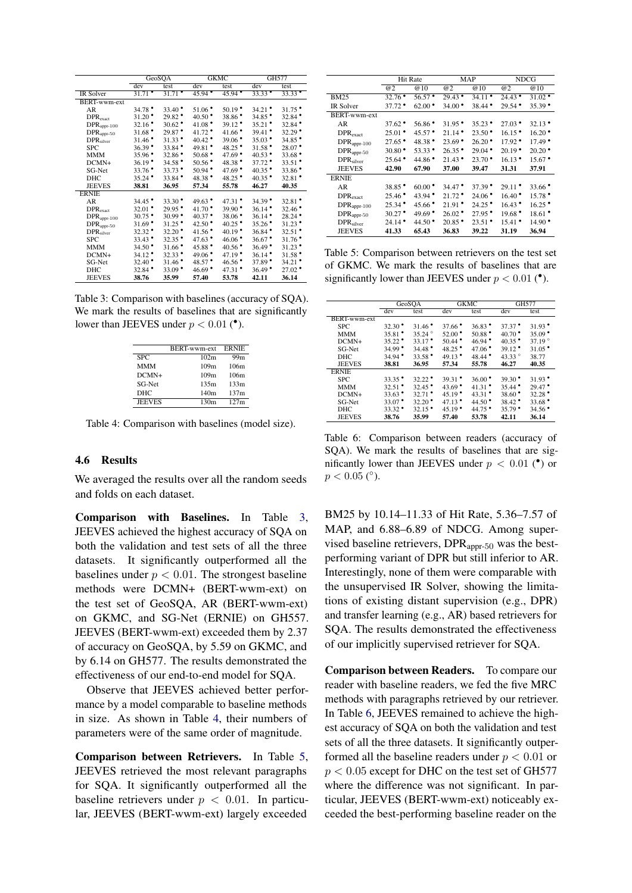<span id="page-6-0"></span>

|                        | GeoSQA               |                      |                      | <b>GKMC</b>          |                      | GH577                |  |
|------------------------|----------------------|----------------------|----------------------|----------------------|----------------------|----------------------|--|
|                        | dev                  | test                 | dev                  | test                 | dev                  | test                 |  |
| <b>IR Solver</b>       | $31.71$ $^{\bullet}$ | $31.71$ $^{\bullet}$ | $45.94$ $^{\circ}$   | $45.94$ $^{\circ}$   | $33.33$ $^{\circ}$   | $33.33$ $^{\bullet}$ |  |
| <b>BERT-wwm-ext</b>    |                      |                      |                      |                      |                      |                      |  |
| AR                     | $34.78^{\circ}$      | $33.40^{\circ}$      | $51.06^{\circ}$      | $50.19$ <sup>*</sup> | 34.21                | $31.75$ <sup>*</sup> |  |
| $DPR_{exact}$          | $31.20$ <sup>*</sup> | $29.82$ <sup>*</sup> | $40.50^{\circ}$      | $38.86$ <sup>*</sup> | $34.85$ $^{\circ}$   | $32.84$ <sup>*</sup> |  |
| $DPR_{appr-100}$       | $32.16$ <sup>*</sup> | $30.62$ $^{\circ}$   | 41.08 $^{\bullet}$   | $39.12$ $^{\bullet}$ | $35.21$ $^{\circ}$   | $32.84$ $^{\circ}$   |  |
| $DPR_{\text{appr-50}}$ | $31.68$ $^{\bullet}$ | 29.87 *              | $41.72$ *            | $41.66$ $^{\circ}$   | $39.41$ $^{\bullet}$ | $32.29$ $^{\bullet}$ |  |
| DPR <sub>silver</sub>  | $31.46$ <sup>*</sup> | $31.33$ $^{\bullet}$ | $40.42$ *            | $39.06$ $^{\bullet}$ | $35.03$ $^{\circ}$   | $34.85$ $^{\circ}$   |  |
| <b>SPC</b>             | $36.39$ <sup>*</sup> | $33.84$ $^{\bullet}$ | $49.81$ $^{\bullet}$ | $48.25$ $^{\circ}$   | $31.58$ <sup>*</sup> | $28.07$ $^{\bullet}$ |  |
| <b>MMM</b>             | $35.96$ <sup>*</sup> | $32.86$ <sup>*</sup> | $50.68$ $^{\circ}$   | 47.69 $^{\bullet}$   | $40.53$ $^{\circ}$   | $33.68$ <sup>*</sup> |  |
| $DCMN+$                | $36.19$ <sup>*</sup> | $34.58$ $^{\circ}$   | $50.56$ $^{\circ}$   | $48.38$ $^{\circ}$   | $37.72$ $^{\bullet}$ | $33.51$ $^{\circ}$   |  |
| SG-Net                 | $33.76$ $^{\circ}$   | $33.73$ $^{\bullet}$ | $50.94$ $^{\bullet}$ | 47.69 $^{\bullet}$   | $40.35$ $^{\circ}$   | $33.86$ <sup>*</sup> |  |
| <b>DHC</b>             | $35.24$ $^{\bullet}$ | $33.84$ $^{\bullet}$ | $48.38^{\circ}$      | $48.25$ $^{\circ}$   | $40.35$ $^{\circ}$   | $32.81$ $^{\circ}$   |  |
| <b>JEEVES</b>          | 38.81                | 36.95                | 57.34                | 55.78                | 46.27                | 40.35                |  |
| <b>ERNIE</b>           |                      |                      |                      |                      |                      |                      |  |
| AR                     | $34.45$ $^{\circ}$   | $33.30^{\circ}$      | 49.63                | $47.31$ $^{\bullet}$ | $34.39^{\circ}$      | $32.81$ <sup>*</sup> |  |
| $DPR_{exact}$          | $32.01$ <sup>*</sup> | $29.95$ <sup>*</sup> | $41.70^{\circ}$      | $39.90$ <sup>*</sup> | 36.14                | $32.46$ <sup>*</sup> |  |
| $DPR_{appr-100}$       | $30.75$ $^{\circ}$   | $30.99$ $\bullet$    | $40.37$ $^{\bullet}$ | $38.06$ <sup>*</sup> | $36.14$ $^{\bullet}$ | $28.24$ $^{\bullet}$ |  |
| $DPR_{\text{appr-50}}$ | $31.69$ <sup>*</sup> | $31.25$ $^{\bullet}$ | 42.50 $^{\circ}$     | $40.25$ $^{\circ}$   | $35.26$ $^{\circ}$   | $31.23$ $^{\bullet}$ |  |
| DPR <sub>silver</sub>  | $32.32$ $^{\circ}$   | $32.20$ $^{\bullet}$ | $41.56$ $^{\circ}$   | $40.19$ $^{\circ}$   | $36.84$ $^{\bullet}$ | $32.51$ $^{\circ}$   |  |
| <b>SPC</b>             | $33.43$ $^{\circ}$   | $32.35$ $^{\circ}$   | $47.63$ $^{\circ}$   | $46.06$ $^{\bullet}$ | $36.67$ *            | $31.76$ <sup>*</sup> |  |
| <b>MMM</b>             | $34.50^{\circ}$      | $31.66$ <sup>*</sup> | 45.88                | $40.56$ $^{\circ}$   | $36.49$ <sup>*</sup> | $31.23$ $^{\bullet}$ |  |
| $DCMN+$                | $34.12$ $^{\bullet}$ | $32.33$ $^{\bullet}$ | $49.06$ $^{\circ}$   | $47.19$ *            | $36.14$ $^{\bullet}$ | $31.58$ $^{\circ}$   |  |
| SG-Net                 | $32.40^{\circ}$      | $31.46$ <sup>*</sup> | $48.57$ *            | $46.56$ $^{\circ}$   | $37.89$ <sup>*</sup> | $34.21$ $^{\bullet}$ |  |
| DHC                    | $32.84$ $^{\circ}$   | $33.09$ $^{\bullet}$ | $46.69$ $^{\circ}$   | $47.31$ $^{\circ}$   | $36.49$ $^{\circ}$   | $27.02$ $^{\bullet}$ |  |
| <b>JEEVES</b>          | 38.76                | 35.99                | 57.40                | 53.78                | 42.11                | 36.14                |  |

<span id="page-6-1"></span>Table 3: Comparison with baselines (accuracy of SQA). We mark the results of baselines that are significantly lower than JEEVES under  $p < 0.01$  (<sup> $\bullet$ </sup>).

|               | <b>BERT-wwm-ext</b> | <b>ERNIE</b> |
|---------------|---------------------|--------------|
| <b>SPC</b>    | 102m                | 99m          |
| MMM           | 109m                | 106m         |
| $DCMN+$       | 109m                | 106m         |
| SG-Net        | 135m                | 133m         |
| DHC           | 140 <sub>m</sub>    | 137m         |
| <b>JEEVES</b> | 130m                | 127m         |

Table 4: Comparison with baselines (model size).

## 4.6 Results

We averaged the results over all the random seeds and folds on each dataset.

Comparison with Baselines. In Table [3,](#page-6-0) JEEVES achieved the highest accuracy of SQA on both the validation and test sets of all the three datasets. It significantly outperformed all the baselines under  $p < 0.01$ . The strongest baseline methods were DCMN+ (BERT-wwm-ext) on the test set of GeoSQA, AR (BERT-wwm-ext) on GKMC, and SG-Net (ERNIE) on GH557. JEEVES (BERT-wwm-ext) exceeded them by 2.37 of accuracy on GeoSQA, by 5.59 on GKMC, and by 6.14 on GH577. The results demonstrated the effectiveness of our end-to-end model for SQA.

Observe that JEEVES achieved better performance by a model comparable to baseline methods in size. As shown in Table [4,](#page-6-1) their numbers of parameters were of the same order of magnitude.

Comparison between Retrievers. In Table [5,](#page-6-2) JEEVES retrieved the most relevant paragraphs for SQA. It significantly outperformed all the baseline retrievers under  $p < 0.01$ . In particular, JEEVES (BERT-wwm-ext) largely exceeded

<span id="page-6-2"></span>

|                                  | <b>Hit Rate</b>      |                    |                      | MAP                | <b>NDCG</b>          |                      |
|----------------------------------|----------------------|--------------------|----------------------|--------------------|----------------------|----------------------|
|                                  | @2                   | @10                | @2                   | @10                | @2                   | @10                  |
| <b>BM25</b>                      | $32.76$ $^{\circ}$   | $56.57$ $^{\circ}$ | $29.43$ $^{\circ}$   | $34.11$ $^{\circ}$ | $24.43$ $^{\bullet}$ | $31.02$ <sup>*</sup> |
| IR Solver                        | $37.72$ $^{\bullet}$ | $62.00$ $\bullet$  | $34.00 \bullet$      | $38.44$ $\bullet$  | $29.54$ $^{\circ}$   | $35.39$ $^{\circ}$   |
| BERT-wwm-ext                     |                      |                    |                      |                    |                      |                      |
| AR                               | $37.62$ $^{\circ}$   | $56.86^{\circ}$    | $31.95$ <sup>*</sup> | $35.23$ $^{\circ}$ | $27.03$ $^{\circ}$   | $32.13$ $^{\circ}$   |
| $DPR_{exact}$                    | $25.01$ $\bullet$    | $45.57$ $^{\circ}$ | $21.14$ $^{\bullet}$ | $23.50$ $\bullet$  | $16.15$ $^{\circ}$   | $16.20$ $^{\bullet}$ |
| $DPRappr-100$                    | $27.65$ $^{\circ}$   | 48.38              | $23.69$ <sup>*</sup> | $26.20$ $^{\circ}$ | $17.92$ $^{\circ}$   | $17.49^{\circ}$      |
| $\rm{DPR}_{\rm{appr}\hbox{-}50}$ | $30.80^{\circ}$      | $53.33^{\circ}$    | $26.35$ $^{\circ}$   | $29.04$ $^{\circ}$ | $20.19^{\circ}$      | $20.20$ $^{\circ}$   |
| DPR <sub>silver</sub>            | $25.64$ $^{\circ}$   | $44.86$ $^{\circ}$ | $21.43$ $\bullet$    | $23.70$ $^{\circ}$ | $16.13$ $^{\bullet}$ | $15.67$ $^{\circ}$   |
| <b>JEEVES</b>                    | 42.90                | 67.90              | 37.00                | 39.47              | 31.31                | 37.91                |
| <b>ERNIE</b>                     |                      |                    |                      |                    |                      |                      |
| AR                               | $38.85$ $^{\circ}$   | $60.00$ $\bullet$  | $34.47$ $^{\bullet}$ | $37.39$ $^{\circ}$ | $29.11$ $\bullet$    | $33.66$ $^{\circ}$   |
| $DPR_{exact}$                    | $25.46^{\circ}$      | $43.94$ $^{\circ}$ | $21.72$ $^{\circ}$   | 24.06              | $16.40^{\circ}$      | $15.78$ $^{\circ}$   |
| $DPR_{appr-100}$                 | $25.34$ $^{\bullet}$ | $45.66$ $^{\circ}$ | $21.91$ $\bullet$    | $24.25$ $^{\circ}$ | $16.43$ $^{\bullet}$ | $16.25$ $^{\circ}$   |
| $DPRappr-50$                     | $30.27$ $^{\circ}$   | $49.69$ $^{\circ}$ | $26.02$ $^{\circ}$   | $27.95$ $^{\circ}$ | $19.68^{\circ}$      | $18.61$ $^{\circ}$   |
| DPR <sub>silver</sub>            | $24.14$ $^{\bullet}$ | $44.50^{\circ}$    | $20.85$ $^{\circ}$   | $23.51$ $^{\circ}$ | $15.41$ $^{\circ}$   | $14.90^{\circ}$      |
| JEEVES                           | 41.33                | 65.43              | 36.83                | 39.22              | 31.19                | 36.94                |

Table 5: Comparison between retrievers on the test set of GKMC. We mark the results of baselines that are significantly lower than JEEVES under  $p < 0.01$  (<sup>\*</sup>).

<span id="page-6-3"></span>

|               | GeoSOA               |                      |                      | <b>GKMC</b>          | GH577                |                      |
|---------------|----------------------|----------------------|----------------------|----------------------|----------------------|----------------------|
|               | dev                  | test                 | dev                  | test                 | dev                  | test                 |
| BERT-wwm-ext  |                      |                      |                      |                      |                      |                      |
| <b>SPC</b>    | $32.30^{\circ}$      | $31.46$ <sup>*</sup> | $37.66$ $^{\circ}$   | $36.83$ $^{\circ}$   | $37.37$ $^{\bullet}$ | $31.93$ $^{\circ}$   |
| <b>MMM</b>    | $35.81$ $^{\circ}$   | $35.24^{\circ}$      | $52.00$ $^{\circ}$   | $50.88$ $^{\bullet}$ | $40.70$ $^{\circ}$   | $35.09$ $^{\circ}$   |
| $DCMN+$       | $35.22$ $^{\circ}$   | $33.17$ $^{\bullet}$ | $50.44$ $^{\circ}$   | $46.94$ $^{\circ}$   | $40.35$ $^{\circ}$   | 37.19 $^{\circ}$     |
| SG-Net        | $34.99$ $^{\circ}$   | $34.48$ $^{\circ}$   | $48.25$ $^{\circ}$   | $47.06$ $^{\circ}$   | $39.12$ $^{\circ}$   | $31.05$ $^{\circ}$   |
| DHC.          | $34.94$ $^{\bullet}$ | $33.58$ $^{\circ}$   | $49.13$ $^{\circ}$   | 48.44 $\bullet$      | 43.33 $^{\circ}$     | 38.77                |
| <b>JEEVES</b> | 38.81                | 36.95                | 57.34                | 55.78                | 46.27                | 40.35                |
| <b>ERNIE</b>  |                      |                      |                      |                      |                      |                      |
| <b>SPC</b>    | $33.35$ $^{\circ}$   | $32.22$ $^{\circ}$   | $39.31$ $^{\circ}$   | $36.00$ $^{\circ}$   | $39.30$ $^{\circ}$   | $31.93$ $^{\circ}$   |
| <b>MMM</b>    | $32.51$ $^{\circ}$   | $32.45$ $^{\circ}$   | $43.69$ $^{\circ}$   | $41.31$ $^{\bullet}$ | $35.44$ $^{\bullet}$ | $29.47$ $^{\bullet}$ |
| $DCMN+$       | $33.63$ $^{\circ}$   | $32.71$ $^{\bullet}$ | 45.19 $^{\circ}$     | $43.31$ $^{\circ}$   | $38.60$ $^{\circ}$   | $32.28$ $^{\circ}$   |
| SG-Net        | $33.07$ $^{\bullet}$ | $32.20$ $^{\circ}$   | $47.13$ $^{\bullet}$ | 44.50 $^{\circ}$     | $38.42$ $^{\bullet}$ | $33.68$ $^{\circ}$   |
| DHC.          | $33.32$ $^{\circ}$   | $32.15$ $^{\circ}$   | 45.19 $^{\circ}$     | $44.75$ $^{\circ}$   | $35.79$ $^{\circ}$   | $34.56$ $^{\circ}$   |
| <b>JEEVES</b> | 38.76                | 35.99                | 57.40                | 53.78                | 42.11                | 36.14                |

Table 6: Comparison between readers (accuracy of SQA). We mark the results of baselines that are significantly lower than JEEVES under  $p < 0.01$  (<sup> $\bullet$ </sup>) or  $p < 0.05$  (°).

BM25 by 10.14–11.33 of Hit Rate, 5.36–7.57 of MAP, and 6.88–6.89 of NDCG. Among supervised baseline retrievers,  $DPR_{\text{appr-50}}$  was the bestperforming variant of DPR but still inferior to AR. Interestingly, none of them were comparable with the unsupervised IR Solver, showing the limitations of existing distant supervision (e.g., DPR) and transfer learning (e.g., AR) based retrievers for SQA. The results demonstrated the effectiveness of our implicitly supervised retriever for SQA.

Comparison between Readers. To compare our reader with baseline readers, we fed the five MRC methods with paragraphs retrieved by our retriever. In Table [6,](#page-6-3) JEEVES remained to achieve the highest accuracy of SQA on both the validation and test sets of all the three datasets. It significantly outperformed all the baseline readers under  $p < 0.01$  or  $p < 0.05$  except for DHC on the test set of GH577 where the difference was not significant. In particular, JEEVES (BERT-wwm-ext) noticeably exceeded the best-performing baseline reader on the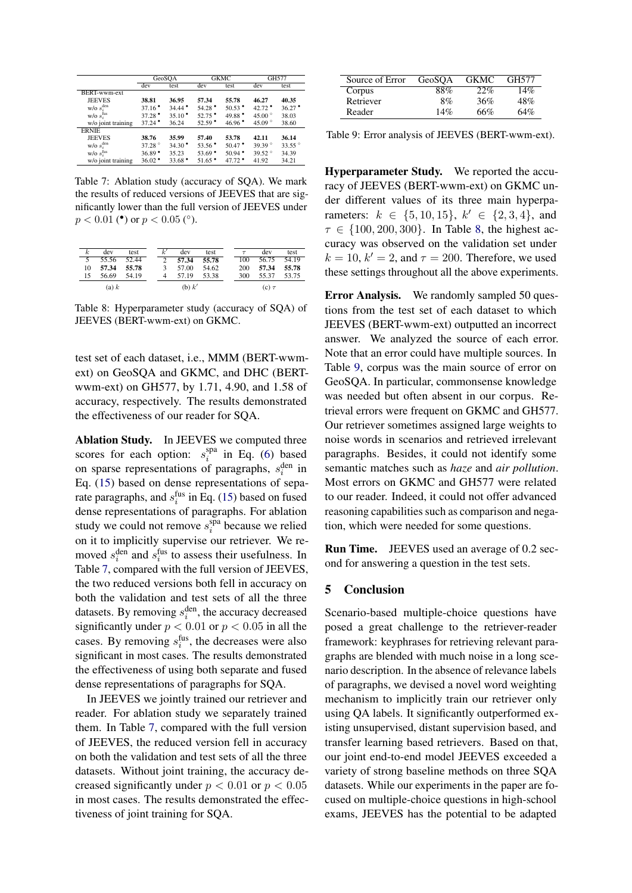<span id="page-7-1"></span>

|                    | GeoSOA               |                      |                    | <b>GKMC</b>          | GH577                |                    |
|--------------------|----------------------|----------------------|--------------------|----------------------|----------------------|--------------------|
|                    | dev                  | test                 | dev                | test                 | dev                  | test               |
| BERT-wwm-ext       |                      |                      |                    |                      |                      |                    |
| <b>JEEVES</b>      | 38.81                | 36.95                | 57.34              | 55.78                | 46.27                | 40.35              |
| $W/O s_i^{den}$    | $37.16$ $^{\circ}$   | $34.44$ $^{\bullet}$ | $54.28$ $^{\circ}$ | $50.53$ $^{\circ}$   | $42.72$ $^{\bullet}$ | $36.27$ $^{\circ}$ |
| $W/O s_i^{fus}$    | $37.28$ $^{\circ}$   | $35.10$ $^{\circ}$   | $52.75$ $^{\circ}$ | 49.88                | 45.00 $^{\circ}$     | 38.03              |
| w/o joint training | $37.24$ $^{\bullet}$ | 36.24                | $52.59$ $^{\circ}$ | 46.96                | 45.09 $^{\circ}$     | 38.60              |
| <b>ERNIE</b>       |                      |                      |                    |                      |                      |                    |
| <b>JEEVES</b>      | 38.76                | 35.99                | 57.40              | 53.78                | 42.11                | 36.14              |
| $W/O$ $s_i^{den}$  | 37.28 <sup>°</sup>   | $34.30^{\circ}$      | $53.56$ $^{\circ}$ | $50.47$ $^{\circ}$   | 39.39 $^{\circ}$     | $33.55^{\circ}$    |
| $W/O s_i^{fus}$    | $36.89$ <sup>*</sup> | 35.23                | $53.69$ $^{\circ}$ | $50.94$ $^{\bullet}$ | 39.52°               | 34.39              |
| w/o joint training | $36.02$ $^{\circ}$   | $33.68$ $^{\circ}$   | $51.65$ $^{\circ}$ | $47.72$ *            | 41.92                | 34.21              |

Table 7: Ablation study (accuracy of SQA). We mark the results of reduced versions of JEEVES that are significantly lower than the full version of JEEVES under  $p < 0.01$  (\*) or  $p < 0.05$  (°).

<span id="page-7-2"></span>

| k              | dev   | test  | k'            | dev    | test  |     | dev        | test  |
|----------------|-------|-------|---------------|--------|-------|-----|------------|-------|
| $\overline{5}$ | 55.56 | 52.44 | $\mathcal{D}$ | 57.34  | 55.78 | 100 | 56.75      | 54.19 |
| 10             | 57.34 | 55.78 | $\mathcal{F}$ | 57.00  | 54.62 | 200 | 57.34      | 55.78 |
| 15             | 56.69 | 54.19 | 4             | 57.19  | 53.38 | 300 | 55.37      | 53.75 |
|                | (a) k |       |               | (b) k' |       |     | $(c) \tau$ |       |

Table 8: Hyperparameter study (accuracy of SQA) of JEEVES (BERT-wwm-ext) on GKMC.

test set of each dataset, i.e., MMM (BERT-wwmext) on GeoSQA and GKMC, and DHC (BERTwwm-ext) on GH577, by 1.71, 4.90, and 1.58 of accuracy, respectively. The results demonstrated the effectiveness of our reader for SQA.

Ablation Study. In JEEVES we computed three scores for each option:  $s_i^{spa}$  $i$ <sup>spa</sup> in Eq. [\(6\)](#page-3-0) based on sparse representations of paragraphs,  $s_i^{\text{den}}$  in Eq. [\(15\)](#page-3-6) based on dense representations of separate paragraphs, and  $s_i^{\text{fus}}$  in Eq. [\(15\)](#page-3-6) based on fused dense representations of paragraphs. For ablation study we could not remove  $s_i^{\text{spa}}$  $i$ <sup>spa</sup> because we relied on it to implicitly supervise our retriever. We removed  $s_i^{\text{den}}$  and  $s_i^{\text{fus}}$  to assess their usefulness. In Table [7,](#page-7-1) compared with the full version of JEEVES, the two reduced versions both fell in accuracy on both the validation and test sets of all the three datasets. By removing  $s_i^{\text{den}}$ , the accuracy decreased significantly under  $p < 0.01$  or  $p < 0.05$  in all the cases. By removing  $s_i^{\text{fus}}$ , the decreases were also significant in most cases. The results demonstrated the effectiveness of using both separate and fused dense representations of paragraphs for SQA.

In JEEVES we jointly trained our retriever and reader. For ablation study we separately trained them. In Table [7,](#page-7-1) compared with the full version of JEEVES, the reduced version fell in accuracy on both the validation and test sets of all the three datasets. Without joint training, the accuracy decreased significantly under  $p < 0.01$  or  $p < 0.05$ in most cases. The results demonstrated the effectiveness of joint training for SQA.

<span id="page-7-3"></span>

| Source of Error | GeoSOA | <b>GKMC</b> | GH577 |
|-----------------|--------|-------------|-------|
| Corpus          | 88%    | 22%         | 14%   |
| Retriever       | 8%     | 36%         | 48%   |
| Reader          | 14%    | 66%         | 64%   |

Table 9: Error analysis of JEEVES (BERT-wwm-ext).

Hyperparameter Study. We reported the accuracy of JEEVES (BERT-wwm-ext) on GKMC under different values of its three main hyperparameters:  $k \in \{5, 10, 15\}, k' \in \{2, 3, 4\}, \text{ and}$  $\tau \in \{100, 200, 300\}$ . In Table [8,](#page-7-2) the highest accuracy was observed on the validation set under  $k = 10$ ,  $k' = 2$ , and  $\tau = 200$ . Therefore, we used these settings throughout all the above experiments.

Error Analysis. We randomly sampled 50 questions from the test set of each dataset to which JEEVES (BERT-wwm-ext) outputted an incorrect answer. We analyzed the source of each error. Note that an error could have multiple sources. In Table [9,](#page-7-3) corpus was the main source of error on GeoSQA. In particular, commonsense knowledge was needed but often absent in our corpus. Retrieval errors were frequent on GKMC and GH577. Our retriever sometimes assigned large weights to noise words in scenarios and retrieved irrelevant paragraphs. Besides, it could not identify some semantic matches such as *haze* and *air pollution*. Most errors on GKMC and GH577 were related to our reader. Indeed, it could not offer advanced reasoning capabilities such as comparison and negation, which were needed for some questions.

Run Time. JEEVES used an average of 0.2 second for answering a question in the test sets.

#### <span id="page-7-0"></span>5 Conclusion

Scenario-based multiple-choice questions have posed a great challenge to the retriever-reader framework: keyphrases for retrieving relevant paragraphs are blended with much noise in a long scenario description. In the absence of relevance labels of paragraphs, we devised a novel word weighting mechanism to implicitly train our retriever only using QA labels. It significantly outperformed existing unsupervised, distant supervision based, and transfer learning based retrievers. Based on that, our joint end-to-end model JEEVES exceeded a variety of strong baseline methods on three SQA datasets. While our experiments in the paper are focused on multiple-choice questions in high-school exams, JEEVES has the potential to be adapted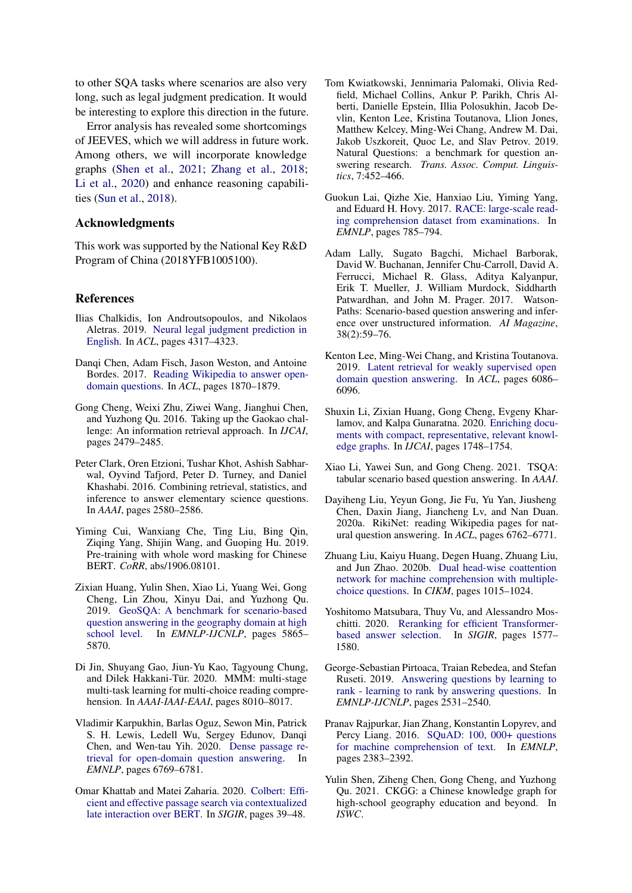to other SQA tasks where scenarios are also very long, such as legal judgment predication. It would be interesting to explore this direction in the future.

Error analysis has revealed some shortcomings of JEEVES, which we will address in future work. Among others, we will incorporate knowledge graphs [\(Shen et al.,](#page-8-19) [2021;](#page-8-19) [Zhang et al.,](#page-9-9) [2018;](#page-9-9) [Li et al.,](#page-8-20) [2020\)](#page-8-20) and enhance reasoning capabilities [\(Sun et al.,](#page-9-10) [2018\)](#page-9-10).

## Acknowledgments

This work was supported by the National Key R&D Program of China (2018YFB1005100).

## References

- <span id="page-8-9"></span>Ilias Chalkidis, Ion Androutsopoulos, and Nikolaos Aletras. 2019. [Neural legal judgment prediction in](https://doi.org/10.18653/v1/p19-1424) [English.](https://doi.org/10.18653/v1/p19-1424) In *ACL*, pages 4317–4323.
- <span id="page-8-2"></span>Danqi Chen, Adam Fisch, Jason Weston, and Antoine Bordes. 2017. [Reading Wikipedia to answer open](https://doi.org/10.18653/v1/P17-1171)[domain questions.](https://doi.org/10.18653/v1/P17-1171) In *ACL*, pages 1870–1879.
- <span id="page-8-6"></span>Gong Cheng, Weixi Zhu, Ziwei Wang, Jianghui Chen, and Yuzhong Qu. 2016. Taking up the Gaokao challenge: An information retrieval approach. In *IJCAI*, pages 2479–2485.
- <span id="page-8-17"></span>Peter Clark, Oren Etzioni, Tushar Khot, Ashish Sabharwal, Oyvind Tafjord, Peter D. Turney, and Daniel Khashabi. 2016. Combining retrieval, statistics, and inference to answer elementary science questions. In *AAAI*, pages 2580–2586.
- <span id="page-8-16"></span>Yiming Cui, Wanxiang Che, Ting Liu, Bing Qin, Ziqing Yang, Shijin Wang, and Guoping Hu. 2019. Pre-training with whole word masking for Chinese BERT. *CoRR*, abs/1906.08101.
- <span id="page-8-7"></span>Zixian Huang, Yulin Shen, Xiao Li, Yuang Wei, Gong Cheng, Lin Zhou, Xinyu Dai, and Yuzhong Qu. 2019. [GeoSQA: A benchmark for scenario-based](https://doi.org/10.18653/v1/D19-1597) [question answering in the geography domain at high](https://doi.org/10.18653/v1/D19-1597) [school level.](https://doi.org/10.18653/v1/D19-1597) In *EMNLP-IJCNLP*, pages 5865– 5870.
- <span id="page-8-14"></span>Di Jin, Shuyang Gao, Jiun-Yu Kao, Tagyoung Chung, and Dilek Hakkani-Tür. 2020. MMM: multi-stage multi-task learning for multi-choice reading comprehension. In *AAAI-IAAI-EAAI*, pages 8010–8017.
- <span id="page-8-8"></span>Vladimir Karpukhin, Barlas Oguz, Sewon Min, Patrick S. H. Lewis, Ledell Wu, Sergey Edunov, Danqi Chen, and Wen-tau Yih. 2020. [Dense passage re](https://doi.org/10.18653/v1/2020.emnlp-main.550)[trieval for open-domain question answering.](https://doi.org/10.18653/v1/2020.emnlp-main.550) In *EMNLP*, pages 6769–6781.
- <span id="page-8-12"></span>Omar Khattab and Matei Zaharia. 2020. [Colbert: Effi](https://doi.org/10.1145/3397271.3401075)[cient and effective passage search via contextualized](https://doi.org/10.1145/3397271.3401075) [late interaction over BERT.](https://doi.org/10.1145/3397271.3401075) In *SIGIR*, pages 39–48.
- <span id="page-8-3"></span>Tom Kwiatkowski, Jennimaria Palomaki, Olivia Redfield, Michael Collins, Ankur P. Parikh, Chris Alberti, Danielle Epstein, Illia Polosukhin, Jacob Devlin, Kenton Lee, Kristina Toutanova, Llion Jones, Matthew Kelcey, Ming-Wei Chang, Andrew M. Dai, Jakob Uszkoreit, Quoc Le, and Slav Petrov. 2019. Natural Questions: a benchmark for question answering research. *Trans. Assoc. Comput. Linguistics*, 7:452–466.
- <span id="page-8-5"></span>Guokun Lai, Qizhe Xie, Hanxiao Liu, Yiming Yang, and Eduard H. Hovy. 2017. [RACE: large-scale read](https://doi.org/10.18653/v1/d17-1082)[ing comprehension dataset from examinations.](https://doi.org/10.18653/v1/d17-1082) In *EMNLP*, pages 785–794.
- <span id="page-8-0"></span>Adam Lally, Sugato Bagchi, Michael Barborak, David W. Buchanan, Jennifer Chu-Carroll, David A. Ferrucci, Michael R. Glass, Aditya Kalyanpur, Erik T. Mueller, J. William Murdock, Siddharth Patwardhan, and John M. Prager. 2017. Watson-Paths: Scenario-based question answering and inference over unstructured information. *AI Magazine*, 38(2):59–76.
- <span id="page-8-10"></span>Kenton Lee, Ming-Wei Chang, and Kristina Toutanova. 2019. [Latent retrieval for weakly supervised open](https://doi.org/10.18653/v1/p19-1612) [domain question answering.](https://doi.org/10.18653/v1/p19-1612) In *ACL*, pages 6086– 6096.
- <span id="page-8-20"></span>Shuxin Li, Zixian Huang, Gong Cheng, Evgeny Kharlamov, and Kalpa Gunaratna. 2020. [Enriching docu](https://doi.org/10.24963/ijcai.2020/242)[ments with compact, representative, relevant knowl](https://doi.org/10.24963/ijcai.2020/242)[edge graphs.](https://doi.org/10.24963/ijcai.2020/242) In *IJCAI*, pages 1748–1754.
- <span id="page-8-1"></span>Xiao Li, Yawei Sun, and Gong Cheng. 2021. TSQA: tabular scenario based question answering. In *AAAI*.
- <span id="page-8-18"></span>Dayiheng Liu, Yeyun Gong, Jie Fu, Yu Yan, Jiusheng Chen, Daxin Jiang, Jiancheng Lv, and Nan Duan. 2020a. RikiNet: reading Wikipedia pages for natural question answering. In *ACL*, pages 6762–6771.
- <span id="page-8-15"></span>Zhuang Liu, Kaiyu Huang, Degen Huang, Zhuang Liu, and Jun Zhao. 2020b. [Dual head-wise coattention](https://doi.org/10.1145/3340531.3412013) [network for machine comprehension with multiple](https://doi.org/10.1145/3340531.3412013)[choice questions.](https://doi.org/10.1145/3340531.3412013) In *CIKM*, pages 1015–1024.
- <span id="page-8-11"></span>Yoshitomo Matsubara, Thuy Vu, and Alessandro Moschitti. 2020. [Reranking for efficient Transformer](https://doi.org/10.1145/3397271.3401266)[based answer selection.](https://doi.org/10.1145/3397271.3401266) In *SIGIR*, pages 1577– 1580.
- <span id="page-8-13"></span>George-Sebastian Pirtoaca, Traian Rebedea, and Stefan Ruseti. 2019. [Answering questions by learning to](https://doi.org/10.18653/v1/D19-1256) [rank - learning to rank by answering questions.](https://doi.org/10.18653/v1/D19-1256) In *EMNLP-IJCNLP*, pages 2531–2540.
- <span id="page-8-4"></span>Pranav Rajpurkar, Jian Zhang, Konstantin Lopyrev, and Percy Liang. 2016. [SQuAD: 100, 000+ questions](https://doi.org/10.18653/v1/d16-1264) [for machine comprehension of text.](https://doi.org/10.18653/v1/d16-1264) In *EMNLP*, pages 2383–2392.
- <span id="page-8-19"></span>Yulin Shen, Ziheng Chen, Gong Cheng, and Yuzhong Qu. 2021. CKGG: a Chinese knowledge graph for high-school geography education and beyond. In *ISWC*.